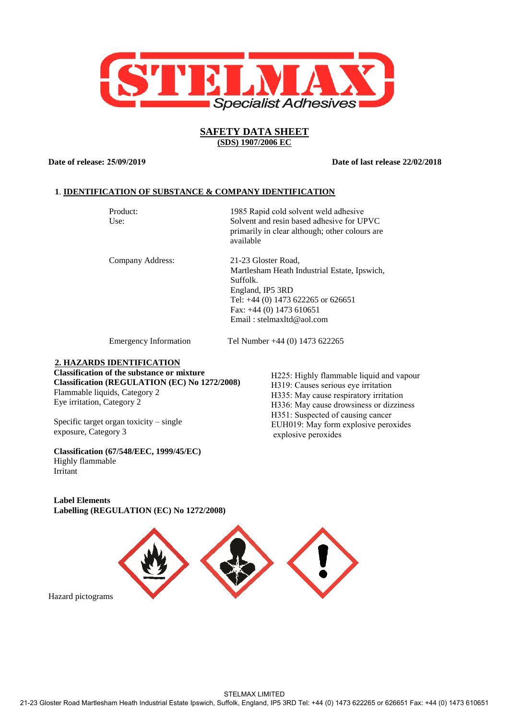

# **SAFETY DATA SHEET (SDS) 1907/2006 EC**

**Date of release: 25/09/2019 Date of last release 22/02/2018**

# **1**. **IDENTIFICATION OF SUBSTANCE & COMPANY IDENTIFICATION**

Product: Use:

1985 Rapid cold solvent weld adhesive Solvent and resin based adhesive for UPVC primarily in clear although; other colours are available

Company Address:

21-23 Gloster Road, Martlesham Heath Industrial Estate, Ipswich, Suffolk. England, IP5 3RD Tel: +44 (0) 1473 622265 or 626651 Fax: +44 (0) 1473 610651 Email : stelmaxltd@aol.com

Emergency Information Tel Number +44 (0) 1473 622265

# **2. HAZARDS IDENTIFICATION**

**Classification of the substance or mixture Classification (REGULATION (EC) No 1272/2008)** Flammable liquids, Category 2 Eye irritation, Category 2

Specific target organ toxicity – single exposure, Category 3

**Classification (67/548/EEC, 1999/45/EC)** Highly flammable Irritant R36: Irritant R36: Irritant R36: Irritant R36: Irritant R36: Irritant R36: Irritant R36: Irritant R36: Irritant R36: Irritant R36: Irritant R36: Irritant R36: Irritant R36: Irritant R36: Irritant R36: Irritant R36

H225: Highly flammable liquid and vapour H319: Causes serious eye irritation H335: May cause respiratory irritation H336: May cause drowsiness or dizziness H351: Suspected of causing cancer EUH019: May form explosive peroxides explosive peroxides

**Label Elements Labelling (REGULATION (EC) No 1272/2008)**



Hazard pictograms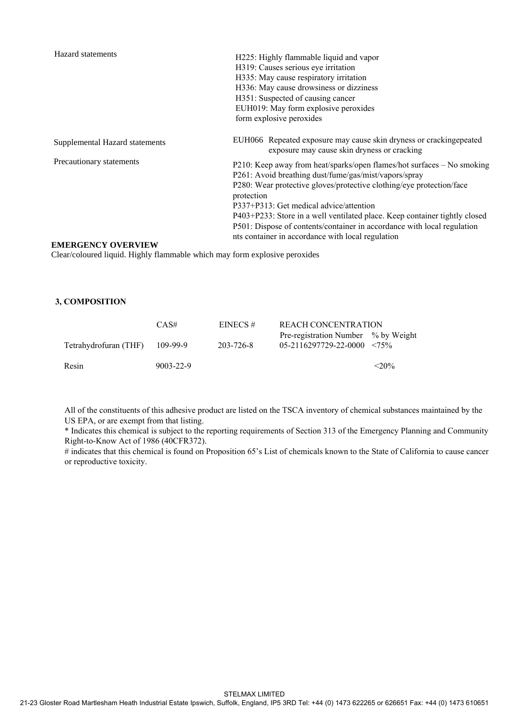| Hazard statements              | H225: Highly flammable liquid and vapor<br>H319: Causes serious eye irritation<br>H335: May cause respiratory irritation<br>H336: May cause drowsiness or dizziness<br>H351: Suspected of causing cancer<br>EUH019: May form explosive peroxides<br>form explosive peroxides                                                                                                                                                                                                   |
|--------------------------------|--------------------------------------------------------------------------------------------------------------------------------------------------------------------------------------------------------------------------------------------------------------------------------------------------------------------------------------------------------------------------------------------------------------------------------------------------------------------------------|
| Supplemental Hazard statements | EUH066 Repeated exposure may cause skin dryness or crackingepeated<br>exposure may cause skin dryness or cracking                                                                                                                                                                                                                                                                                                                                                              |
| Precautionary statements       | P210: Keep away from heat/sparks/open flames/hot surfaces – No smoking<br>P261: Avoid breathing dust/fume/gas/mist/vapors/spray<br>P280: Wear protective gloves/protective clothing/eye protection/face<br>protection<br>P337+P313: Get medical advice/attention<br>P403+P233: Store in a well ventilated place. Keep container tightly closed<br>P501: Dispose of contents/container in accordance with local regulation<br>nts container in accordance with local regulation |

### **EMERGENCY OVERVIEW**

Clear/coloured liquid. Highly flammable which may form explosive peroxides

# **3, COMPOSITION**

|                       | CAS#            | EINECS#   | REACH CONCENTRATION                                                 |          |
|-----------------------|-----------------|-----------|---------------------------------------------------------------------|----------|
| Tetrahydrofuran (THF) | 109-99-9        | 203-726-8 | Pre-registration Number % by Weight<br>$05-2116297729-22-0000$ <75% |          |
| Resin                 | $9003 - 22 - 9$ |           |                                                                     | $< 20\%$ |

All of the constituents of this adhesive product are listed on the TSCA inventory of chemical substances maintained by the US EPA, or are exempt from that listing.

\* Indicates this chemical is subject to the reporting requirements of Section 313 of the Emergency Planning and Community Right-to-Know Act of 1986 (40CFR372).

# indicates that this chemical is found on Proposition 65's List of chemicals known to the State of California to cause cancer or reproductive toxicity.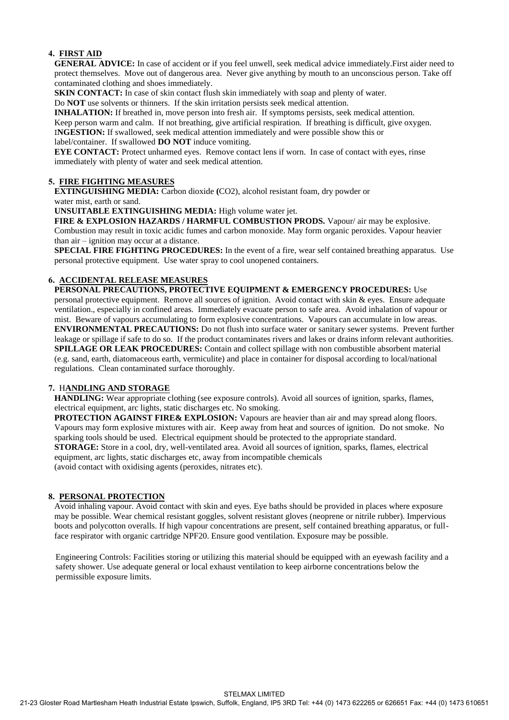# **4. FIRST AID**

**GENERAL ADVICE:** In case of accident or if you feel unwell, seek medical advice immediately.First aider need to protect themselves. Move out of dangerous area. Never give anything by mouth to an unconscious person. Take off contaminated clothing and shoes immediately.

**SKIN CONTACT:** In case of skin contact flush skin immediately with soap and plenty of water.

Do **NOT** use solvents or thinners. If the skin irritation persists seek medical attention.

**INHALATION:** If breathed in, move person into fresh air. If symptoms persists, seek medical attention.

Keep person warm and calm. If not breathing, give artificial respiration. If breathing is difficult, give oxygen.

I**NGESTION:** If swallowed, seek medical attention immediately and were possible show this or label/container. If swallowed **DO NOT** induce vomiting.

**EYE CONTACT:** Protect unharmed eyes. Remove contact lens if worn. In case of contact with eves, rinse immediately with plenty of water and seek medical attention.

# **5. FIRE FIGHTING MEASURES**

**EXTINGUISHING MEDIA:** Carbon dioxide **(**CO2), alcohol resistant foam, dry powder or water mist, earth or sand.

**UNSUITABLE EXTINGUISHING MEDIA:** High volume water jet.

FIRE & EXPLOSION HAZARDS / HARMFUL COMBUSTION PRODS. Vapour/ air may be explosive. Combustion may result in toxic acidic fumes and carbon monoxide. May form organic peroxides. Vapour heavier than air – ignition may occur at a distance.

**SPECIAL FIRE FIGHTING PROCEDURES:** In the event of a fire, wear self contained breathing apparatus. Use personal protective equipment. Use water spray to cool unopened containers.

# **6. ACCIDENTAL RELEASE MEASURES**

**PERSONAL PRECAUTIONS, PROTECTIVE EQUIPMENT & EMERGENCY PROCEDURES:** Use personal protective equipment. Remove all sources of ignition. Avoid contact with skin & eyes. Ensure adequate ventilation., especially in confined areas. Immediately evacuate person to safe area. Avoid inhalation of vapour or mist. Beware of vapours accumulating to form explosive concentrations. Vapours can accumulate in low areas. **ENVIRONMENTAL PRECAUTIONS:** Do not flush into surface water or sanitary sewer systems. Prevent further leakage or spillage if safe to do so. If the product contaminates rivers and lakes or drains inform relevant authorities. **SPILLAGE OR LEAK PROCEDURES:** Contain and collect spillage with non combustible absorbent material (e.g. sand, earth, diatomaceous earth, vermiculite) and place in container for disposal according to local/national regulations. Clean contaminated surface thoroughly.

# **7.** H**ANDLING AND STORAGE**

**HANDLING:** Wear appropriate clothing (see exposure controls). Avoid all sources of ignition, sparks, flames, electrical equipment, arc lights, static discharges etc. No smoking.

**PROTECTION AGAINST FIRE& EXPLOSION:** Vapours are heavier than air and may spread along floors. Vapours may form explosive mixtures with air. Keep away from heat and sources of ignition. Do not smoke. No sparking tools should be used. Electrical equipment should be protected to the appropriate standard. **STORAGE:** Store in a cool, dry, well-ventilated area. Avoid all sources of ignition, sparks, flames, electrical equipment, arc lights, static discharges etc, away from incompatible chemicals (avoid contact with oxidising agents (peroxides, nitrates etc).

### **8. PERSONAL PROTECTION**

Avoid inhaling vapour. Avoid contact with skin and eyes. Eye baths should be provided in places where exposure may be possible. Wear chemical resistant goggles, solvent resistant gloves (neoprene or nitrile rubber). Impervious boots and polycotton overalls. If high vapour concentrations are present, self contained breathing apparatus, or fullface respirator with organic cartridge NPF20. Ensure good ventilation. Exposure may be possible.

Engineering Controls: Facilities storing or utilizing this material should be equipped with an eyewash facility and a safety shower. Use adequate general or local exhaust ventilation to keep airborne concentrations below the permissible exposure limits.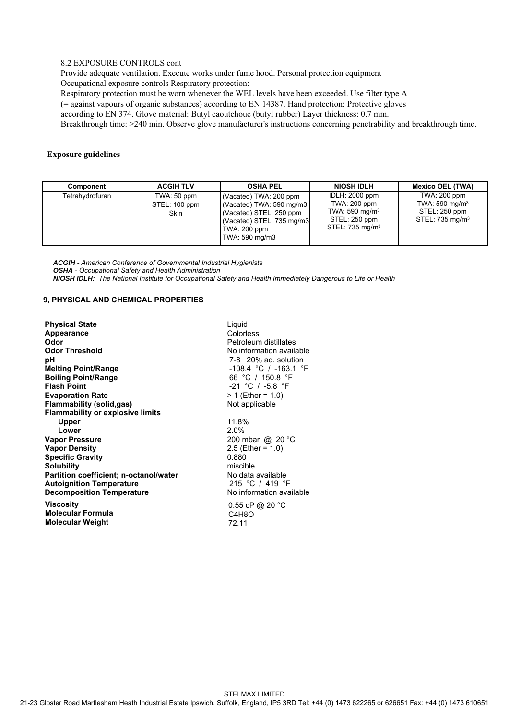### 8.2 EXPOSURE CONTROLS cont

Provide adequate ventilation. Execute works under fume hood. Personal protection equipment Occupational exposure controls Respiratory protection:

Respiratory protection must be worn whenever the WEL levels have been exceeded. Use filter type A

(= against vapours of organic substances) according to EN 14387. Hand protection: Protective gloves

according to EN 374. Glove material: Butyl caoutchouc (butyl rubber) Layer thickness: 0.7 mm.

Breakthrough time: >240 min. Observe glove manufacturer's instructions concerning penetrability and breakthrough time.

### **Exposure guidelines**

| Component       | <b>ACGIH TLV</b>                            | <b>OSHA PEL</b>                                                                                                                             | <b>NIOSH IDLH</b>                                                                                          | <b>Mexico OEL (TWA)</b>                                                                      |
|-----------------|---------------------------------------------|---------------------------------------------------------------------------------------------------------------------------------------------|------------------------------------------------------------------------------------------------------------|----------------------------------------------------------------------------------------------|
| Tetrahydrofuran | TWA: 50 ppm<br>STEL: 100 ppm<br><b>Skin</b> | (Vacated) TWA: 200 ppm<br>(Vacated) TWA: 590 mg/m3<br>Vacated) STEL: 250 ppm<br>(Vacated) STEL: 735 mg/m3<br>TWA: 200 ppm<br>TWA: 590 mg/m3 | <b>IDLH: 2000 ppm</b><br>TWA: 200 ppm<br>TWA: 590 mg/m $3$<br>STEL: 250 ppm<br>STEL: 735 mg/m <sup>3</sup> | TWA: 200 ppm<br>TWA: $590$ mg/m <sup>3</sup><br>STEL: 250 ppm<br>STEL: 735 mg/m <sup>3</sup> |

*ACGIH - American Conference of Governmental Industrial Hygienists OSHA - Occupational Safety and Health Administration NIOSH IDLH: The National Institute for Occupational Safety and Health Immediately Dangerous to Life or Health*

### **9, PHYSICAL AND CHEMICAL PROPERTIES**

| <b>Physical State</b>                   | Liqu   |
|-----------------------------------------|--------|
| Appearance                              | Colc   |
| Odor                                    | Petr   |
| <b>Odor Threshold</b>                   | No ii  |
| рH                                      | $7-8$  |
| <b>Melting Point/Range</b>              | $-100$ |
| <b>Boiling Point/Range</b>              | 66     |
| <b>Flash Point</b>                      | $-21$  |
| <b>Evaporation Rate</b>                 | > 1 (  |
| <b>Flammability (solid,gas)</b>         | Not    |
| <b>Flammability or explosive limits</b> |        |
| <b>Upper</b>                            | 11.8   |
| Lower                                   | 2.0%   |
| <b>Vapor Pressure</b>                   | 200    |
| <b>Vapor Density</b>                    | 2.5(   |
| <b>Specific Gravity</b>                 | 0.88   |
| <b>Solubility</b>                       | misc   |
| Partition coefficient; n-octanol/water  | No c   |
| <b>Autoignition Temperature</b>         | 215    |
| <b>Decomposition Temperature</b>        | No i   |
| <b>Viscosity</b>                        | 0.55   |
| <b>Molecular Formula</b>                | C4     |
| <b>Molecular Weight</b>                 | 72.1   |

Liquid Colorless Petroleum distillates No information available 7-8 20% aq. solution -108.4 °C / -163.1 °F 66 °C / 150.8 °F -21 °C / -5.8 °F Liquid<br>
Colorless<br>
Petroleum distillates<br>
No information available<br>
7-8 20% aq. solution<br>
-108.4 °C / -163.1 °F<br>
66 °C / 150.8 °F<br>
-21 °C / -5.8 °F<br>
> 1 (Ether = 1.0)<br>
Not applicable<br>
11.8%<br>
2.0% Not applicable 11.8% 2.0% 200 mbar @ 20 °C 2.5 (Ether = 1.0) 0.880 miscible No data available 215 °C / 419 °F No information available 0.55 cP @ 20 °C C4H8O 72.11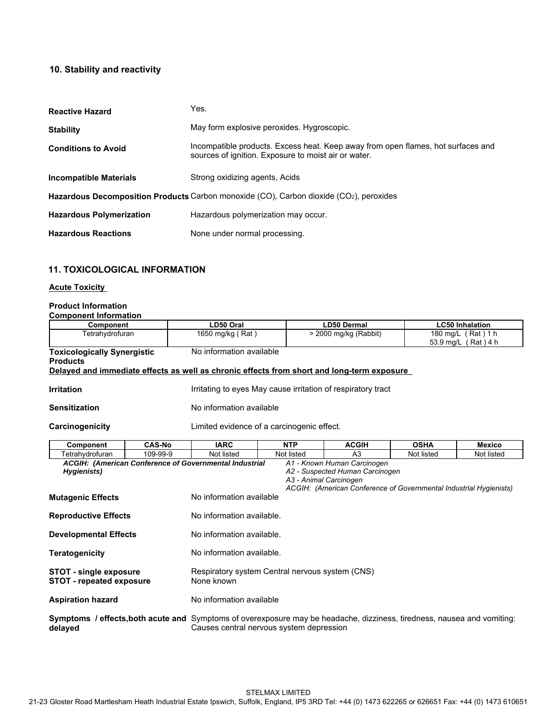# **10. Stability and reactivity**

| <b>Reactive Hazard</b>          | Yes.                                                                                                                                     |
|---------------------------------|------------------------------------------------------------------------------------------------------------------------------------------|
| <b>Stability</b>                | May form explosive peroxides. Hygroscopic.                                                                                               |
| <b>Conditions to Avoid</b>      | Incompatible products. Excess heat. Keep away from open flames, hot surfaces and<br>sources of ignition. Exposure to moist air or water. |
| <b>Incompatible Materials</b>   | Strong oxidizing agents, Acids                                                                                                           |
|                                 | Hazardous Decomposition Products Carbon monoxide (CO), Carbon dioxide (CO <sub>2</sub> ), peroxides                                      |
| <b>Hazardous Polymerization</b> | Hazardous polymerization may occur.                                                                                                      |
| <b>Hazardous Reactions</b>      | None under normal processing.                                                                                                            |

# **11. TOXICOLOGICAL INFORMATION**

### **Acute Toxicity**

### **Product Information Component Information**

| <b>Hazardous Reactions</b>                                       |               | None under normal processing.                                                      |            |                                                                                                                                                                |             |                                           |
|------------------------------------------------------------------|---------------|------------------------------------------------------------------------------------|------------|----------------------------------------------------------------------------------------------------------------------------------------------------------------|-------------|-------------------------------------------|
| <b>11. TOXICOLOGICAL INFORMATION</b>                             |               |                                                                                    |            |                                                                                                                                                                |             |                                           |
| <b>Acute Toxicity</b>                                            |               |                                                                                    |            |                                                                                                                                                                |             |                                           |
| <b>Product Information</b><br><b>Component Information</b>       |               |                                                                                    |            |                                                                                                                                                                |             |                                           |
| Component                                                        |               | LD50 Oral                                                                          |            | <b>LD50 Dermal</b>                                                                                                                                             |             | <b>LC50 Inhalation</b>                    |
| Tetrahydrofuran                                                  |               | 1650 mg/kg (Rat)                                                                   |            | > 2000 mg/kg (Rabbit)                                                                                                                                          |             | 180 mg/L (Rat) 1 h<br>53.9 mg/L (Rat) 4 h |
| <b>Toxicologically Synergistic</b><br><b>Products</b>            |               | No information available                                                           |            | Delayed and immediate effects as well as chronic effects from short and long-term exposure                                                                     |             |                                           |
| <b>Irritation</b>                                                |               |                                                                                    |            | Irritating to eyes May cause irritation of respiratory tract                                                                                                   |             |                                           |
| <b>Sensitization</b>                                             |               | No information available                                                           |            |                                                                                                                                                                |             |                                           |
| Carcinogenicity                                                  |               | Limited evidence of a carcinogenic effect.                                         |            |                                                                                                                                                                |             |                                           |
| <b>Component</b>                                                 | <b>CAS-No</b> | <b>IARC</b>                                                                        | <b>NTP</b> | <b>ACGIH</b>                                                                                                                                                   | <b>OSHA</b> | <b>Mexico</b>                             |
| Tetrahydrofuran                                                  | 109-99-9      | Not listed                                                                         | Not listed | A <sub>3</sub>                                                                                                                                                 | Not listed  | Not listed                                |
| Hygienists)<br><b>Mutagenic Effects</b>                          |               | ACGIH: (American Conference of Governmental Industrial<br>No information available |            | A1 - Known Human Carcinogen<br>A2 - Suspected Human Carcinogen<br>A3 - Animal Carcinogen<br>ACGIH: (American Conference of Governmental Industrial Hygienists) |             |                                           |
| <b>Reproductive Effects</b>                                      |               | No information available.                                                          |            |                                                                                                                                                                |             |                                           |
| <b>Developmental Effects</b>                                     |               | No information available.                                                          |            |                                                                                                                                                                |             |                                           |
| <b>Teratogenicity</b>                                            |               | No information available.                                                          |            |                                                                                                                                                                |             |                                           |
| <b>STOT - single exposure</b><br><b>STOT - repeated exposure</b> |               | Respiratory system Central nervous system (CNS)<br>None known                      |            |                                                                                                                                                                |             |                                           |

**Aspiration hazard** No information available

**Symptoms / effects,both acute and** Symptoms of overexposure may be headache, dizziness, tiredness, nausea and vomiting: **delayed** Causes central nervous system depression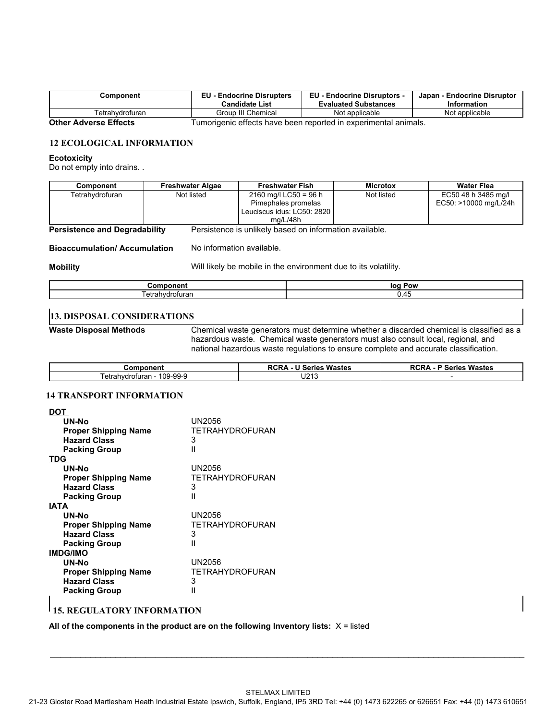| こomponent                    | <b>EU - Endocrine Disrupters</b><br><b>Candidate List</b>       | <b>EU - Endocrine Disruptors -</b><br><b>Evaluated Substances</b> | Japan - Endocrine Disruptor<br><b>Information</b> |
|------------------------------|-----------------------------------------------------------------|-------------------------------------------------------------------|---------------------------------------------------|
| Tetrahvdrofuran              | Group III Chemical                                              | Not applicable                                                    | Not applicable                                    |
| <b>Other Adverse Effects</b> | Tumorigenic effects have been reported in experimental animals. |                                                                   |                                                   |

## **12 ECOLOGICAL INFORMATION**

### **Ecotoxicity**

Do not empty into drains. .

| Component       | <b>Freshwater Algae</b> | <b>Freshwater Fish</b>     | <b>Microtox</b> | Water Flea            |
|-----------------|-------------------------|----------------------------|-----------------|-----------------------|
| Tetrahvdrofuran | Not listed              | 2160 mg/l LC50 = 96 h      | Not listed      | EC50 48 h 3485 mg/l   |
|                 |                         | Pimephales promelas        |                 | EC50: >10000 mg/L/24h |
|                 |                         | Leuciscus idus: LC50: 2820 |                 |                       |
|                 |                         | ma/L/48h                   |                 |                       |

**Persistence and Degradability** Persistence is unlikely based on information available.

**Bioaccumulation/ Accumulation** No information available.

**Mobility** Mobility **Mobility** Will likely be mobile in the environment due to its volatility.

|                     | אסי<br>loc |
|---------------------|------------|
| $\sim$<br>.<br>ı aı | −™         |

# **13. DISPOSAL CONSIDERATIONS**

**Waste Disposal Methods** Chemical waste generators must determine whether a discarded chemical is classified as a hazardous waste. Chemical waste generators must also consult local, regional, and national hazardous waste regulations to ensure complete and accurate classification.

| ∵omponen.                         | $\cdot$<br>----<br>Wastes<br>.<br>™eries ∶<br>. . | $\cdot$ $\cdot$<br>ner<br>Wastes<br>orio.<br>rur<br>JUI 153 |
|-----------------------------------|---------------------------------------------------|-------------------------------------------------------------|
| 109-99-9<br>ahvdrofuran<br>etrahv | .<br>ᄖ                                            |                                                             |

# **14 TRANSPORT INFORMATION**

| <b>DOT</b>                  |                 |
|-----------------------------|-----------------|
| UN-No                       | UN2056          |
| <b>Proper Shipping Name</b> | TETRAHYDROFURAN |
| <b>Hazard Class</b>         | 3               |
| <b>Packing Group</b>        | Ш               |
| <b>TDG</b>                  |                 |
| UN-No                       | UN2056          |
| <b>Proper Shipping Name</b> | TETRAHYDROFURAN |
| <b>Hazard Class</b>         | 3               |
| <b>Packing Group</b>        | Ш               |
| <b>IATA</b>                 |                 |
| UN-No                       | UN2056          |
| <b>Proper Shipping Name</b> | TETRAHYDROFURAN |
| <b>Hazard Class</b>         | 3               |
| <b>Packing Group</b>        | Ш               |
| <b>IMDG/IMO</b>             |                 |
| UN-No                       | UN2056          |
| <b>Proper Shipping Name</b> | TETRAHYDROFURAN |
| <b>Hazard Class</b>         | 3               |
| <b>Packing Group</b>        | Ш               |
|                             |                 |

# **15. REGULATORY INFORMATION**

All of the components in the product are on the following Inventory lists:  $X =$  listed

\_\_\_\_\_\_\_\_\_\_\_\_\_\_\_\_\_\_\_\_\_\_\_\_\_\_\_\_\_\_\_\_\_\_\_\_\_\_\_\_\_\_\_\_\_\_\_\_\_\_\_\_\_\_\_\_\_\_\_\_\_\_\_\_\_\_\_\_\_\_\_\_\_\_\_\_\_\_\_\_\_\_\_\_\_\_\_\_\_\_\_\_\_\_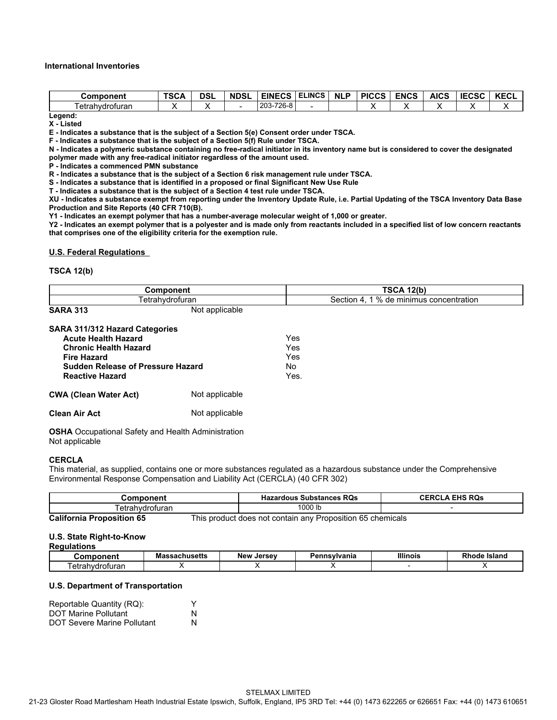### **International Inventories**

| EINECS ELINCS<br><b>NLP</b><br><b>ENCS</b><br><b>TSCA</b><br><b>PICCS</b><br><b>AICS</b><br><b>IECSC</b><br><b>DSL</b><br><b>NDSL</b><br>Component<br>203-726-8<br>Tetrahydrofuran<br>$\overline{\phantom{a}}$<br>-<br>∧<br>∧ |                                                                                  |  |  |  |  |  |             |
|-------------------------------------------------------------------------------------------------------------------------------------------------------------------------------------------------------------------------------|----------------------------------------------------------------------------------|--|--|--|--|--|-------------|
|                                                                                                                                                                                                                               |                                                                                  |  |  |  |  |  |             |
|                                                                                                                                                                                                                               |                                                                                  |  |  |  |  |  |             |
|                                                                                                                                                                                                                               |                                                                                  |  |  |  |  |  |             |
|                                                                                                                                                                                                                               |                                                                                  |  |  |  |  |  |             |
|                                                                                                                                                                                                                               |                                                                                  |  |  |  |  |  |             |
| nternational Inventories                                                                                                                                                                                                      |                                                                                  |  |  |  |  |  |             |
|                                                                                                                                                                                                                               |                                                                                  |  |  |  |  |  |             |
| Legend:                                                                                                                                                                                                                       |                                                                                  |  |  |  |  |  |             |
|                                                                                                                                                                                                                               |                                                                                  |  |  |  |  |  |             |
|                                                                                                                                                                                                                               |                                                                                  |  |  |  |  |  | <b>KECL</b> |
|                                                                                                                                                                                                                               |                                                                                  |  |  |  |  |  |             |
|                                                                                                                                                                                                                               |                                                                                  |  |  |  |  |  | х           |
|                                                                                                                                                                                                                               |                                                                                  |  |  |  |  |  |             |
| E - Indicates a substance that is the subject of a Section 5(e) Consent order under TSCA.                                                                                                                                     | X - Listed                                                                       |  |  |  |  |  |             |
|                                                                                                                                                                                                                               | F - Indicates a substance that is the subject of a Section 5(f) Rule under TSCA. |  |  |  |  |  |             |

**N - Indicates a polymeric substance containing no free-radical initiator in its inventory name but is considered to cover the designated polymer made with any free-radical initiator regardless of the amount used.**

**P - Indicates a commenced PMN substance**

**R - Indicates a substance that is the subject of a Section 6 risk management rule under TSCA.**

**S - Indicates a substance that is identified in a proposed or final Significant New Use Rule**

**T - Indicates a substance that is the subject of a Section 4 test rule under TSCA.**

**XU - Indicates a substance exempt from reporting under the Inventory Update Rule, i.e. Partial Updating of the TSCA Inventory Data Base Production and Site Reports (40 CFR 710(B).**

**Y1 - Indicates an exempt polymer that has a number-average molecular weight of 1,000 or greater.**

**Y2 - Indicates an exempt polymer that is a polyester and is made only from reactants included in a specified list of low concern reactants that comprises one of the eligibility criteria for the exemption rule.**

### **U.S. Federal Regulations**

### **TSCA 12(b)**

| Component                         | <b>TSCA 12(b)</b>                          |
|-----------------------------------|--------------------------------------------|
| Tetrahydrofuran                   | 1 % de minimus concentration<br>Section 4. |
| Not applicable<br><b>SARA 313</b> |                                            |

| <b>SARA 311/312 Hazard Categories</b>                          |                |      |
|----------------------------------------------------------------|----------------|------|
| <b>Acute Health Hazard</b>                                     |                | Yes  |
| <b>Chronic Health Hazard</b>                                   |                | Yes  |
| <b>Fire Hazard</b><br><b>Sudden Release of Pressure Hazard</b> |                | Yes  |
|                                                                |                | No   |
| <b>Reactive Hazard</b>                                         |                | Yes. |
| <b>CWA (Clean Water Act)</b>                                   | Not applicable |      |
| <b>Clean Air Act</b>                                           | Not applicable |      |

**OSHA** Occupational Safety and Health Administration Not applicable

### **CERCLA**

|                                                |                      | Environmental Response Compensation and Liability Act (CERCLA) (40 CFR 302) |                                                            |                 |                       |  |
|------------------------------------------------|----------------------|-----------------------------------------------------------------------------|------------------------------------------------------------|-----------------|-----------------------|--|
| <b>Component</b>                               |                      |                                                                             | <b>Hazardous Substances RQs</b>                            |                 | <b>CERCLA EHS RQS</b> |  |
| Tetrahydrofuran                                |                      |                                                                             | 1000 lb                                                    |                 |                       |  |
| <b>California Proposition 65</b>               |                      |                                                                             | This product does not contain any Proposition 65 chemicals |                 |                       |  |
| U.S. State Right-to-Know<br><b>Regulations</b> |                      |                                                                             |                                                            |                 |                       |  |
| <b>Component</b>                               | <b>Massachusetts</b> | New Jersey                                                                  | Pennsylvania                                               | <b>Illinois</b> | <b>Rhode Island</b>   |  |
|                                                | х                    | х                                                                           | ⋏                                                          |                 | х                     |  |

#### **U.S. State Right-to-Know Regulations**

### **U.S. Department of Transportation**

| Reportable Quantity (RQ):          |   |
|------------------------------------|---|
| <b>DOT Marine Pollutant</b>        | N |
| <b>DOT Severe Marine Pollutant</b> | N |